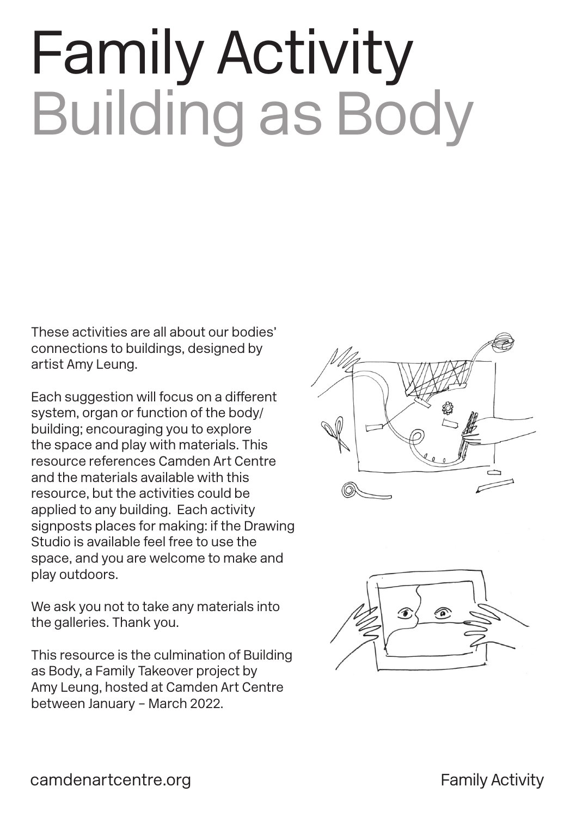# Family Activity Building as Body

These activities are all about our bodies' connections to buildings, designed by artist Amy Leung.

Each suggestion will focus on a different system, organ or function of the body/ building; encouraging you to explore the space and play with materials. This resource references Camden Art Centre and the materials available with this resource, but the activities could be applied to any building. Each activity signposts places for making: if the Drawing Studio is available feel free to use the space, and you are welcome to make and play outdoors.

We ask you not to take any materials into the galleries. Thank you.

This resource is the culmination of Building as Body, a Family Takeover project by Amy Leung, hosted at Camden Art Centre between January – March 2022.



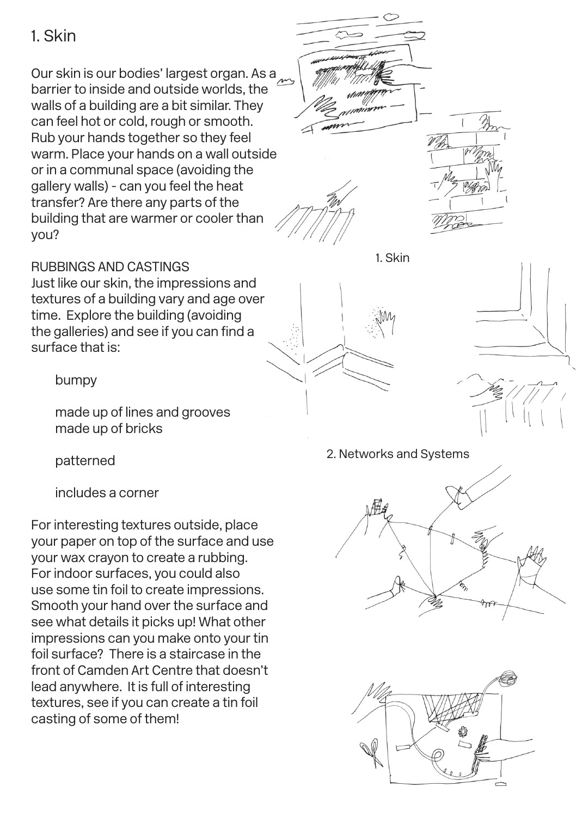## 1. Skin

Our skin is our bodies' largest organ. As a barrier to inside and outside worlds, the walls of a building are a bit similar. They can feel hot or cold, rough or smooth. Rub your hands together so they feel warm. Place your hands on a wall outside or in a communal space (avoiding the gallery walls) - can you feel the heat transfer? Are there any parts of the building that are warmer or cooler than you?



#### 1. Skin

## RUBBINGS AND CASTINGS

Just like our skin, the impressions and textures of a building vary and age over time. Explore the building (avoiding the galleries) and see if you can find a surface that is:

bumpy

made up of lines and grooves made up of bricks

patterned

includes a corner

For interesting textures outside, place your paper on top of the surface and use your wax crayon to create a rubbing. For indoor surfaces, you could also use some tin foil to create impressions. Smooth your hand over the surface and see what details it picks up! What other impressions can you make onto your tin foil surface? There is a staircase in the front of Camden Art Centre that doesn't lead anywhere. It is full of interesting textures, see if you can create a tin foil casting of some of them!





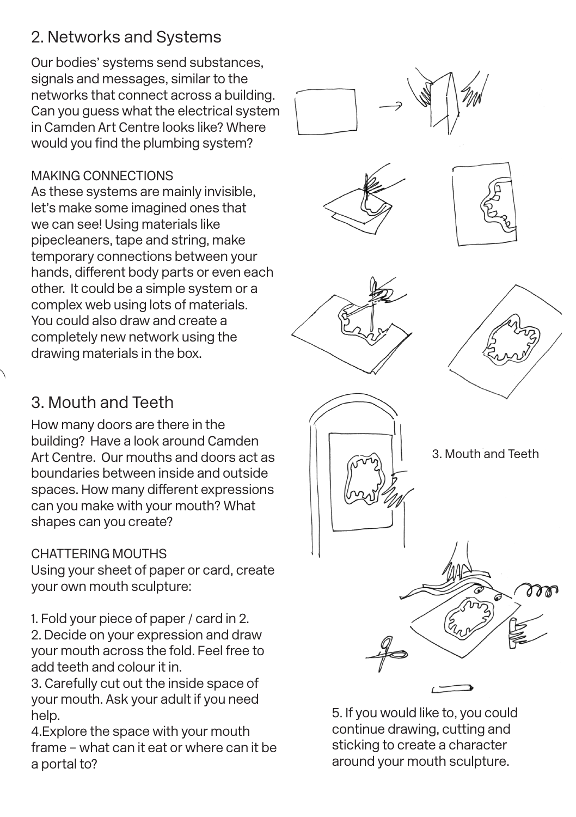# 2. Networks and Systems

Our bodies' systems send substances, signals and messages, similar to the networks that connect across a building. Can you guess what the electrical system in Camden Art Centre looks like? Where would you find the plumbing system?

## MAKING CONNECTIONS

As these systems are mainly invisible, let's make some imagined ones that we can see! Using materials like pipecleaners, tape and string, make temporary connections between your hands, different body parts or even each other. It could be a simple system or a complex web using lots of materials. You could also draw and create a completely new network using the drawing materials in the box.











# 3. Mouth and Teeth

How many doors are there in the building? Have a look around Camden Art Centre. Our mouths and doors act as boundaries between inside and outside spaces. How many different expressions can you make with your mouth? What shapes can you create?

## CHATTERING MOUTHS

Using your sheet of paper or card, create your own mouth sculpture:

1. Fold your piece of paper / card in 2. 2. Decide on your expression and draw your mouth across the fold. Feel free to add teeth and colour it in.

3. Carefully cut out the inside space of your mouth. Ask your adult if you need help.

4.Explore the space with your mouth frame – what can it eat or where can it be a portal to?



5. If you would like to, you could continue drawing, cutting and sticking to create a character around your mouth sculpture.